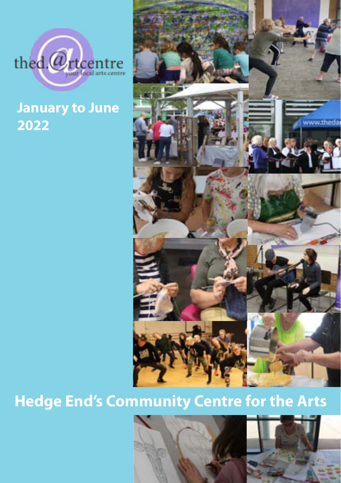

### **January to June 2022**



### **Hedge End's Community Centre for the Arts**



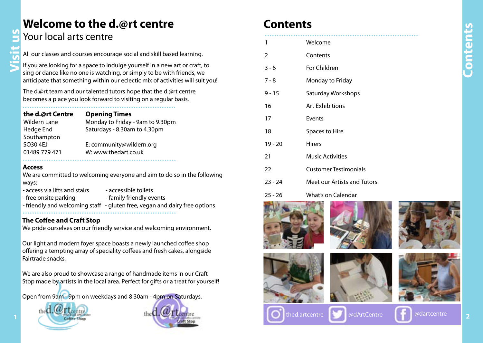### **Welcome to the d.@rt centre**

### Your local arts centre

All our classes and courses encourage social and skill based learning.

If you are looking for a space to indulge yourself in a new art or craft, to sing or dance like no one is watching, or simply to be with friends, we anticipate that something within our eclectic mix of activities will suit you!

The d.@rt team and our talented tutors hope that the d.@rt centre becomes a place you look forward to visiting on a regular basis.

.................................................................

| the d.@rt Centre     | <b>Opening Times</b>             |
|----------------------|----------------------------------|
| <b>Wildern Lane</b>  | Monday to Friday - 9am to 9.30pm |
| Hedge End            | Saturdays - 8.30am to 4.30pm     |
| Southampton          |                                  |
| SO <sub>30</sub> 4EJ | E: community@wildern.org         |
| 01489 779 471        | W: www.thedart.co.uk             |
|                      |                                  |

### **Access**

**Visit us**

We are committed to welcoming everyone and aim to do so in the following ways:

- access via lifts and stairs accessible toilets
- free onsite parking example family friendly events
- 
- 
- friendly and welcoming staff gluten free, vegan and dairy free options .................................................................

### **The Coffee and Craft Stop**

We pride ourselves on our friendly service and welcoming environment.

Our light and modern foyer space boasts a newly launched coffee shop offering a tempting array of speciality coffees and fresh cakes, alongside Fairtrade snacks.

We are also proud to showcase a range of handmade items in our Craft Stop made by artists in the local area. Perfect for gifts or a treat for yourself!

Open from 9am - 9pm on weekdays and 8.30am - 4pm on Saturdays.





### **Contents**

| 1         | Welcome                      |
|-----------|------------------------------|
| 2         | Contents                     |
| $3 - 6$   | For Children                 |
| $7 - 8$   | Monday to Friday             |
| $9 - 15$  | Saturday Workshops           |
| 16        | <b>Art Exhibitions</b>       |
| 17        | Events                       |
| 18        | Spaces to Hire               |
| $19 - 20$ | <b>Hirers</b>                |
| 21        | <b>Music Activities</b>      |
| 22        | <b>Customer Testimonials</b> |
| $23 - 24$ | Meet our Artists and Tutors  |
| 25 - 26   | What's on Calendar           |











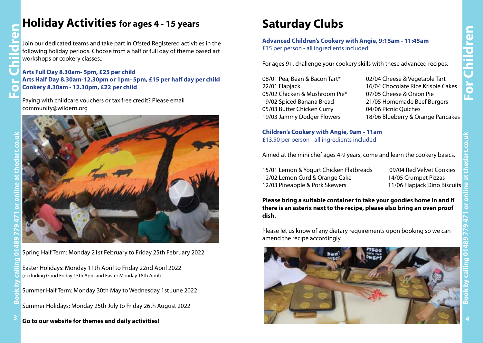### **Holiday Activities for ages 4 - 15 years**

Join our dedicated teams and take part in Ofsted Registered activities in the following holiday periods. Choose from a half or full day of theme based art workshops or cookery classes...

**Arts Full Day 8.30am- 5pm, £25 per child Arts Half Day 8.30am-12.30pm or 1pm- 5pm, £15 per half day per child Cookery 8.30am - 12.30pm, £22 per child**

Paying with childcare vouchers or tax free credit? Please email community@wildern.org



Spring Half Term: Monday 21st February to Friday 25th February 2022

Easter Holidays: Monday 11th April to Friday 22nd April 2022 (excluding Good Friday 15th April and Easter Monday 18th April)

Summer Half Term: Monday 30th May to Wednesday 1st June 2022

Summer Holidays: Monday 25th July to Friday 26th August 2022

**Go to our website for themes and daily activities! 3 4**

### **Saturday Clubs**

**Advanced Children's Cookery with Angie, 9:15am - 11:45am** £15 per person - all ingredients included

For ages 9+, challenge your cookery skills with these advanced recipes.

08/01 Pea, Bean & Bacon Tart\* 02/04 Cheese & Vegetable Tart 05/02 Chicken & Mushroom Pie\* 07/05 Cheese & Onion Pie 05/03 Butter Chicken Curry 04/06 Picnic Quiches

22/01 Flapjack 16/04 Chocolate Rice Krispie Cakes 19/02 Spiced Banana Bread 21/05 Homemade Beef Burgers 19/03 Jammy Dodger Flowers 18/06 Blueberry & Orange Pancakes

### **Children's Cookery with Angie, 9am - 11am** £13.50 per person - all ingredients included

Aimed at the mini chef ages 4-9 years, come and learn the cookery basics.

15/01 Lemon & Yogurt Chicken Flatbreads 09/04 Red Velvet Cookies 12/02 Lemon Curd & Orange Cake 14/05 Crumpet Pizzas 12/03 Pineapple & Pork Skewers 11/06 Flapjack Dino Biscuits

**Please bring a suitable container to take your goodies home in and if there is an asterix next to the recipe, please also bring an oven proof dish.**

Please let us know of any dietary requirements upon booking so we can amend the recipe accordingly.



**Book by calling 01489 779 471 or online at thedart.co.uk**

**For Children**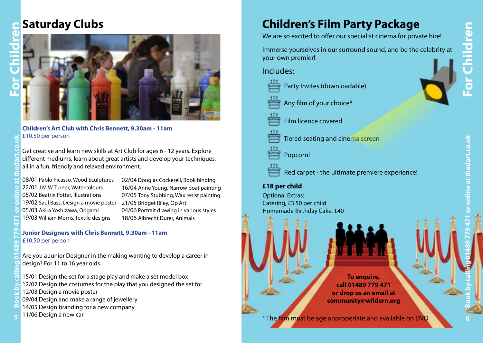### **For Children**

### **Saturday Clubs**





### **Children's Art Club with Chris Bennett, 9.30am - 11am** £10.50 per person

Get creative and learn new skills at Art Club for ages 6 - 12 years. Explore different mediums, learn about great artists and develop your techniques, all in a fun, friendly and relaxed environment.

08/01 Pablo Picasso, Wood Sculptures 22/01 J.M.W Turner, Watercolours 05/02 Beatrix Potter, Illustrations 19/02 Saul Bass, Design a movie poster 05/03 Akira Yoshizawa, Origami 19/03 William Morris, Textile designs

02/04 Douglas Cockerell, Book binding 16/04 Anne Young, Narrow boat painting 07/05 Tony Stubbing, Wax resist painting 21/05 Bridget Riley, Op Art 04/06 Portrait drawing in various styles 18/06 Albrecht Durer, Animals

### **Junior Designers with Chris Bennett, 9.30am - 11am** £10.50 per person

Are you a Junior Designer in the making wanting to develop a career in design? For 11 to 16 year olds.

15/01 Design the set for a stage play and make a set model box 12/02 Design the costumes for the play that you designed the set for

- 12/03 Design a movie poster
- 09/04 Design and make a range of jewellery
- 14/05 Design branding for a new company **Book by calling 01489 779 471 or online at thedart.co.uk**
- 11/06 Design a new car

### **Children's Film Party Package**

We are so excited to offer our specialist cinema for private hire!

Immerse yourselves in our surround sound, and be the celebrity at your own premier!

Includes:

- Party Invites (downloadable)
- Any film of your choice\*
- Film licence covered

Tiered seating and cinema screen

- Popcorn!
- Red carpet the ultimate premiere experience!

### **£18 per child**

Optional Extras: Catering, £3.50 per child Homemade Birthday Cake, £40

> **To enquire, call 01489 779 471 or drop us an email at community@wildern.org**

**EXECUTE 1706** Design a new car and available on DVD of the film must be age approperiate and available on DVD of the film must be age approperiate and available on DVD of the film must be age approperiate and available on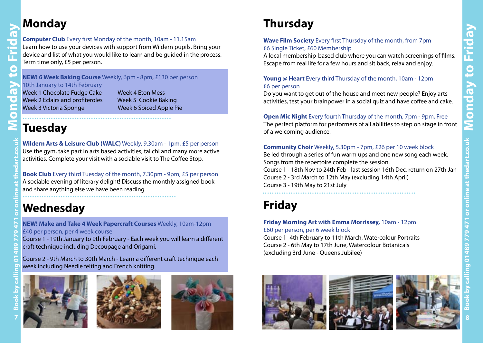### **Monday**

**Monday to Friday**

**I TO** 

C

 $\bullet$ 

È

### **Computer Club** Every first Monday of the month, 10am - 11.15am

Learn how to use your devices with support from Wildern pupils. Bring your device and list of what you would like to learn and be guided in the process. Term time only, £5 per person.

### **NEW! 6 Week Baking Course** Weekly, 6pm - 8pm, £130 per person

### 10th January to 14th February

Week 1 Chocolate Fudge Cake Week 4 Eton Mess<br>Week 2 Eclairs and profiteroles Week 5 Cookie Baking Week 2 Eclairs and profiteroles Week 3 Victoria Sponge Week 6 Spiced Apple Pie

### **Tuesday** ...............................................................

**Wildern Arts & Leisure Club (WALC)** Weekly, 9.30am - 1pm, £5 per person Use the gym, take part in arts based activities, tai chi and many more active activities. Complete your visit with a sociable visit to The Coffee Stop.

**Book Club** Every third Tuesday of the month, 7.30pm - 9pm, £5 per person A sociable evening of literary delight! Discuss the monthly assigned book and share anything else we have been reading. .................................................................

### **Wednesday**

**NEW! Make and Take 4 Week Papercraft Courses** Weekly, 10am-12pm £40 per person, per 4 week course

Course 1 - 19th January to 9th February - Each week you will learn a different craft technique including Decoupage and Origami.

Course 2 - 9th March to 30th March - Learn a different craft technique each week including Needle felting and French knitting.







### **Thursday**

### **Wave Film Society** Every first Thursday of the month, from 7pm £6 Single Ticket, £60 Membership

A local membership-based club where you can watch screenings of films. Escape from real life for a few hours and sit back, relax and enjoy.

### **Young @ Heart** Every third Thursday of the month, 10am - 12pm £6 per person

Do you want to get out of the house and meet new people? Enjoy arts activities, test your brainpower in a social quiz and have coffee and cake.

### **Open Mic Night** Every fourth Thursday of the month, 7pm - 9pm, Free

The perfect platform for performers of all abilities to step on stage in front of a welcoming audience.

### **Community Choir** Weekly, 5.30pm - 7pm, £26 per 10 week block

Be led through a series of fun warm ups and one new song each week. Songs from the repertoire complete the session. Course 1 - 18th Nov to 24th Feb - last session 16th Dec, return on 27th Jan Course 2 - 3rd March to 12th May (excluding 14th April)

Course 3 - 19th May to 21st July .................................................................

### **Friday**

### **Friday Morning Art with Emma Morrissey,** 10am - 12pm £60 per person, per 6 week block

Course 1- 4th February to 11th March, Watercolour Portraits Course 2 - 6th May to 17th June, Watercolour Botanicals (excluding 3rd June - Queens Jubilee)

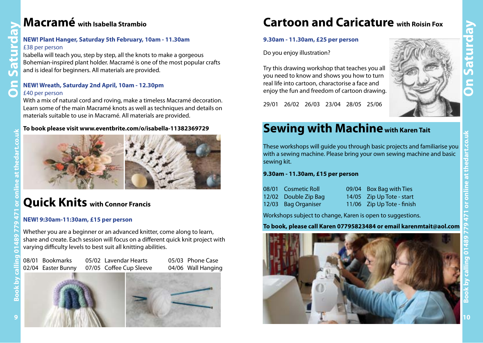### **NEW! Plant Hanger, Saturday 5th February, 10am - 11.30am**

### £38 per person

**Macramé** with Isabella Strambio<br>
NEW! Plant Hanger, Saturday 5th February, 1<br>
E38 per person<br>
Isabella will teach you, step by step, all the knot<br>
Bohemian-inspired plant holder. Macramé is on<br>
and is ideal for beginners. Isabella will teach you, step by step, all the knots to make a gorgeous Bohemian-inspired plant holder. Macramé is one of the most popular crafts and is ideal for beginners. All materials are provided.

### **NEW! Wreath, Saturday 2nd April, 10am - 12.30pm** £40 per person

With a mix of natural cord and roving, make a timeless Macramé decoration. Learn some of the main Macramé knots as well as techniques and details on materials suitable to use in Macramé. All materials are provided.

### **To book please visit www.eventbrite.com/o/isabella-11382369729**



### **Quick Knits with Connor Francis**

### **NEW! 9:30am-11:30am, £15 per person**

Whether you are a beginner or an advanced knitter, come along to learn, share and create. Each session will focus on a different quick knit project with varying difficulty levels to best suit all knitting abilities.

08/01 Bookmarks 05/02 Lavendar Hearts 05/03 Phone Case 02/04 Easter Bunny 07/05 Coffee Cup Sleeve 04/06 Wall Hanging



### **Cartoon and Caricature with Roisin Fox**

### **9.30am - 11.30am, £25 per person**

Do you enjoy illustration?

Try this drawing workshop that teaches you all you need to know and shows you how to turn real life into cartoon, charactorise a face and enjoy the fun and freedom of cartoon drawing.

29/01 26/02 26/03 23/04 28/05 25/06



### **Sewing with Machine with Karen Tait**

These workshops will guide you through basic projects and familiarise you with a sewing machine. Please bring your own sewing machine and basic sewing kit.

### **9.30am - 11.30am, £15 per person**

| 08/01 Cosmetic Roll  | 09/04 Box Bag with Ties    |
|----------------------|----------------------------|
| 12/02 Double Zip Bag | 14/05 Zip Up Tote - start  |
| 12/03 Bag Organiser  | 11/06 Zip Up Tote - finish |

Workshops subject to change, Karen is open to suggestions.

### **To book, please call Karen 07795823484 or email karenmtait@aol.com**



 **10**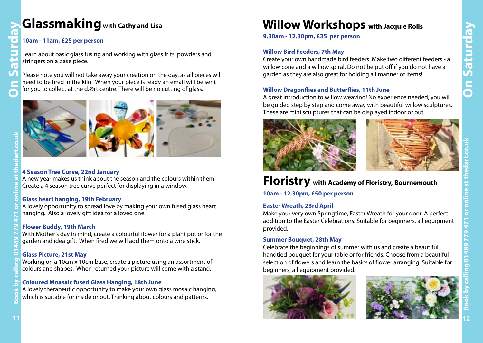### **Glassmaking with Cathy and Lisa**

### **10am - 11am, £25 per person**

Learn about basic glass fusing and working with glass frits, powders and stringers on a base piece.

Please note you will not take away your creation on the day, as all pieces will need to be fired in the kiln. When your piece is ready an email will be sent for you to collect at the d.@rt centre. There will be no cutting of glass.



## **Book by calling 01489 779 471 or online at thedart.co.uk**

 $\blacksquare$ 

### **4 Season Tree Curve, 22nd January**

A new year makes us think about the season and the colours within them. Create a 4 season tree curve perfect for displaying in a window.

### **Glass heart hanging, 19th February**

A lovely opportunity to spread love by making your own fused glass heart hanging. Also a lovely gift idea for a loved one.

### **Flower Buddy, 19th March**

With Mother's day in mind, create a colourful flower for a plant pot or for the garden and idea gift. When fired we will add them onto a wire stick.

### **Glass Picture, 21st May**

Working on a 10cm x 10cm base, create a picture using an assortment of colours and shapes. When returned your picture will come with a stand.

### **Coloured Moasaic fused Glass Hanging, 18th June**

A lovely therapeutic opportunity to make your own glass mosaic hanging, which is suitable for inside or out. Thinking about colours and patterns.

### **Willow Workshops with Jacquie Rolls**

**9.30am - 12.30pm, £35 per person**

### **Willow Bird Feeders, 7th May**

Create your own handmade bird feeders. Make two different feeders - a willow cone and a willow spiral. Do not be put off if you do not have a garden as they are also great for holding all manner of items!

### **Willow Dragonflies and Butterflies, 11th June**

A great introduction to willow weaving! No experience needed, you will be guided step by step and come away with beautiful willow sculptures. These are mini sculptures that can be displayed indoor or out.





### **Floristry with Academy of Floristry, Bournemouth**

**10am - 12.30pm, £50 per person**

### **Easter Wreath, 23rd April**

Make your very own Springtime, Easter Wreath for your door. A perfect addition to the Easter Celebrations. Suitable for beginners, all equipment provided.

### **Summer Bouquet, 28th May**

Celebrate the beginnings of summer with us and create a beautiful handtied bouquet for your table or for friends. Choose from a beautiful selection of flowers and learn the basics of flower arranging. Suitable for beginners, all equipment provided.



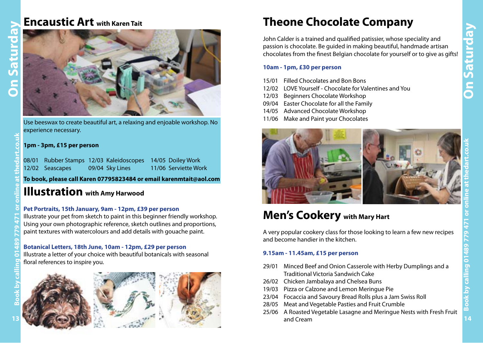### **Encaustic Art with Karen Tait**



Use beeswax to create beautiful art, a relaxing and enjoable workshop. No experience necessary.

### **1pm - 3pm, £15 per person**

08/01 Rubber Stamps 12/03 Kaleidoscopes 14/05 Doiley Work 12/02 Seascapes 09/04 Sky Lines 11/06 Serviette Work

**To book, please call Karen 07795823484 or email karenmtait@aol.com**

### **Illustration with Amy Harwood**

### **Pet Portraits, 15th January, 9am - 12pm, £39 per person**

Illustrate your pet from sketch to paint in this beginner friendly workshop. Using your own photographic reference, sketch outlines and proportions, paint textures with watercolours and add details with gouache paint.

### **Botanical Letters, 18th June, 10am - 12pm, £29 per person**

Illustrate a letter of your choice with beautiful botanicals with seasonal floral references to inspire you.





### **Theone Chocolate Company**

John Calder is a trained and qualified patissier, whose speciality and passion is chocolate. Be guided in making beautiful, handmade artisan chocolates from the finest Belgian chocolate for yourself or to give as gifts!

### **10am - 1pm, £30 per person**

- 15/01 Filled Chocolates and Bon Bons
- 12/02 LOVE Yourself Chocolate for Valentines and You
- 12/03 Beginners Chocolate Workshop
- 09/04 Easter Chocolate for all the Family
- 14/05 Advanced Chocolate Workshop
- 11/06 Make and Paint your Chocolates



### **Men's Cookery with Mary Hart**

A very popular cookery class for those looking to learn a few new recipes and become handier in the kitchen.

### **9.15am - 11.45am, £15 per person**

- 29/01 Minced Beef and Onion Casserole with Herby Dumplings and a Traditional Victoria Sandwich Cake
- 26/02 Chicken Jambalaya and Chelsea Buns
- 19/03 Pizza or Calzone and Lemon Meringue Pie
- 23/04 Focaccia and Savoury Bread Rolls plus a Jam Swiss Roll
- 28/05 Meat and Vegetable Pasties and Fruit Crumble
- 25/06 A Roasted Vegetable Lasagne and Meringue Nests with Fresh Fruit and Cream  **13 14**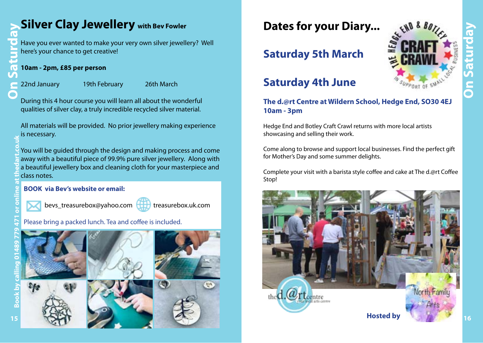## **Silver Clay Jewellery with Bev Fowler On Saturday Book by calling 01489 779 471 or online at thedart.co.uk**

Have you ever wanted to make your very own silver jewellery? Well here's your chance to get creative!

### **10am - 2pm, £85 per person**

22nd January 19th February 26th March

During this 4 hour course you will learn all about the wonderful qualities of silver clay, a truly incredible recycled silver material.

All materials will be provided. No prior jewellery making experience is necessary.

You will be guided through the design and making process and come away with a beautiful piece of 99.9% pure silver jewellery. Along with a beautiful jewellery box and cleaning cloth for your masterpiece and class notes.

### **BOOK via Bev's website or email:**



bevs\_treasurebox@yahoo.com



treasurebox.uk.com

Please bring a packed lunch. Tea and coffee is included.









### **Saturday 5th March**

### **Saturday 4th June**

### **The d.@rt Centre at Wildern School, Hedge End, SO30 4EJ 10am - 3pm**

Hedge End and Botley Craft Crawl returns with more local artists showcasing and selling their work.

Come along to browse and support local businesses. Find the perfect gift for Mother's Day and some summer delights.

Complete your visit with a barista style coffee and cake at The d.@rt Coffee Stop!



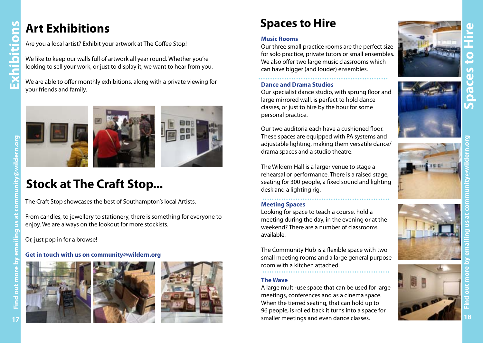# **Find out more by emailing us at community@wildern.org Exhibitions**

### **Art Exhibitions**

Are you a local artist? Exhibit your artwork at The Coffee Stop!

We like to keep our walls full of artwork all year round. Whether you're looking to sell your work, or just to display it, we want to hear from you.

We are able to offer monthly exhibitions, along with a private viewing for your friends and family.





### **Stock at The Craft Stop...**

The Craft Stop showcases the best of Southampton's local Artists.

From candles, to jewellery to stationery, there is something for everyone to enjoy. We are always on the lookout for more stockists.

Or, just pop in for a browse!

### **Get in touch with us on community@wildern.org**







### **Spaces to Hire**

### **Music Rooms**

Our three small practice rooms are the perfect size for solo practice, private tutors or small ensembles. We also offer two large music classrooms which can have bigger (and louder) ensembles.

### **Dance and Drama Studios**

Our specialist dance studio, with sprung floor and large mirrored wall, is perfect to hold dance classes, or just to hire by the hour for some personal practice.

Our two auditoria each have a cushioned floor. These spaces are equipped with PA systems and adjustable lighting, making them versatile dance/ drama spaces and a studio theatre.

The Wildern Hall is a larger venue to stage a rehearsal or performance. There is a raised stage, seating for 300 people, a fixed sound and lighting desk and a lighting rig. ......................................................

### **Meeting Spaces**

Looking for space to teach a course, hold a meeting during the day, in the evening or at the weekend? There are a number of classrooms available.

The Community Hub is a flexible space with two small meeting rooms and a large general purpose room with a kitchen attached.

### **The Wave**

A large multi-use space that can be used for large meetings, conferences and as a cinema space. When the tierred seating, that can hold up to 96 people, is rolled back it turns into a space for smaller meetings and even dance classes. **1718**<br> **1718**<br> **1718**<br> **1718**<br> **1718**<br> **1718**<br> **1718**<br> **1718**<br> **1718**<br> **1718**<br> **1718**<br> **1718**<br> **1718**<br> **1718**<br> **1718**<br> **1718**<br> **1718**<br> **1718**<br> **1718**<br> **1718**<br> **18**<br> **17**<br> **18**<br> **18** 











**Spaces to Hire**

T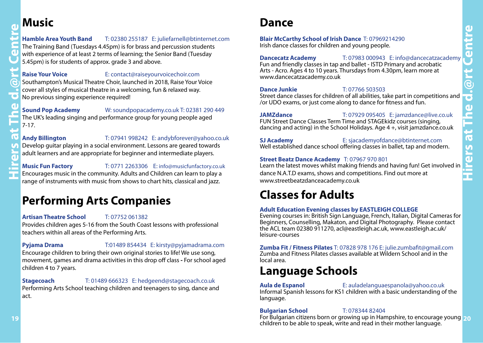### **Music**

### **Hamble Area Youth Band** T: 02380 255187 E: juliefarnell@btinternet.com The Training Band (Tuesdays 4.45pm) is for brass and percussion students with experience of at least 2 terms of learning; the Senior Band (Tuesday

5.45pm) is for students of approx. grade 3 and above.

### **Raise Your Voice** E: contact@raiseyourvoicechoir.com

Southampton's Musical Theatre Choir, launched in 2018, Raise Your Voice cover all styles of musical theatre in a welcoming, fun & relaxed way. No previous singing experience required!

### **Sound Pop Academy** W: soundpopacademy.co.uk T: 02381 290 449

The UK's leading singing and performance group for young people aged 7-17.

## **Hirers at The d.@rt Centre**

### **Andy Billington** T: 07941 998242 E: andybforever@yahoo.co.uk

Develop guitar playing in a social environment. Lessons are geared towards adult learners and are appropriate for beginner and intermediate players.

### **Music Fun Factory** T: 0771 2263306 E: info@musicfunfactory.co.uk

Encourages music in the community. Adults and Children can learn to play a range of instruments with music from shows to chart hits, classical and jazz.

### **Performing Arts Companies**

### **Artisan Theatre School** T: 07752 061382

Provides children ages 5-16 from the South Coast lessons with professional teachers within all areas of the Performing Arts.

### **Pyjama Drama** T:01489 854434 E: kirsty@pyjamadrama.com

Encourage children to bring their own original stories to life! We use song, movement, games and drama activities in this drop off class **-** For school aged children 4 to 7 years.

### **Stagecoach** T: 01489 666323 E: hedgeend@stagecoach.co.uk

Performing Arts School teaching children and teenagers to sing, dance and act.

### **Dance**

### **Blair McCarthy School of Irish Dance** T: 07969214290 Irish dance classes for children and young people.

**Dancecatz Academy** T: 07983 000943 E: info@dancecatzacademy Fun and friendly classes in tap and ballet - ISTD Primary and acrobatic Arts - Acro. Ages 4 to 10 years. Thursdays from 4.30pm, learn more at www.dancecatzacademy.co.uk

### **Dance Junkie** T: 07766 503503

Street dance classes for children of all abilities, take part in competitions and /or UDO exams, or just come along to dance for fitness and fun.

### **JAMZdance** T: 07929 095405 E: jamzdance@live.co.uk FUN Street Dance Classes Term Time and STAGEkidz courses (singing, dancing and acting) in the School Holidays. Age 4 +, visit jamzdance.co.uk

**SJ Academy** E: sjacademyofdance@btinternet.comWell established dance school offering classes in ballet, tap and modern.

### **Street Beatz Dance Academy** T: 07967 970 801

Learn the latest moves whilst making friends and having fun! Get involved in dance N.A.T.D exams, shows and competitions. Find out more at www.streetbeatzdanceacademy.co.uk

### **Classes for Adults**

### **Adult Education Evening classes by EASTLEIGH COLLEGE**

Evening courses in: British Sign Language, French, Italian, Digital Cameras for Beginners, Counselling, Makaton, and Digital Photography. Please contact the ACL team 02380 911270, acl@eastleigh.ac.uk, www.eastleigh.ac.uk/ leisure-courses

**Zumba Fit / Fitness Pilates** T: 07828 978 176 E: julie.zumbafit@gmail.com Zumba and Fitness Pilates classes available at Wildern School and in the local area.

### **Language Schools**

**Aula de Espanol** E: auladelanguaespanola@yahoo.co.uk Informal Spanish lessons for KS1 children with a basic understanding of the language.

### **Bulgarian School** T: 078344 82404

For Bulgarian citizens born or growing up in Hampshire, to encourage young  **19 20**children to be able to speak, write and read in their mother language.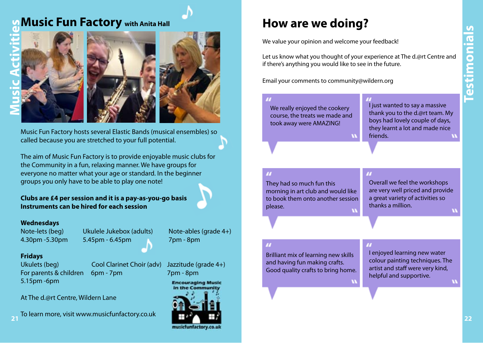### **Music Fun Factory with Anita Hall**



Music Fun Factory hosts several Elastic Bands (musical ensembles) so called because you are stretched to your full potential.

The aim of Music Fun Factory is to provide enjoyable music clubs for the Community in a fun, relaxing manner. We have groups for everyone no matter what your age or standard. In the beginner groups you only have to be able to play one note!

### **Clubs are £4 per session and it is a pay-as-you-go basis Instruments can be hired for each session**

### **Wednesdays**

4.30pm -5.30pm 5.45pm - 6.45pm 7pm - 8pm

Note-lets (beg) Ukulele Jukebox (adults) Note-ables (grade 4+)

### **Fridays**

5.15pm -6pm

Ukulets (beg) Cool Clarinet Choir (adv) Jazzitude (grade 4+) For parents & children 6pm - 7pm 7pm - 8pm

**Encouraging Music** in the Commu

musicfunfactory.co.uk



To learn more, visit www.musicfunfactory.co.uk**<sup>21</sup>**

### **How are we doing?**

We value your opinion and welcome your feedback!

Let us know what you thought of your experience at The d.@rt Centre and if there's anything you would like to see in the future.

Email your comments to community@wildern.org

### We really enjoyed the cookery course, the treats we made and took away were AMAZING!

I just wanted to say a massive thank you to the d.@rt team. My boys had lovely couple of days, they learnt a lot and made nice friends.

They had so much fun this morning in art club and would like to book them onto another session please.

Overall we feel the workshops are very well priced and provide a great variety of activities so thanks a million.

Brilliant mix of learning new skills and having fun making crafts. Good quality crafts to bring home.

I enjoyed learning new water colour painting techniques. The artist and staff were very kind, helpful and supportive.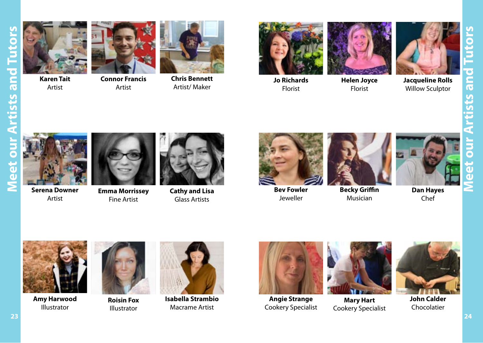

**Karen Tait** Artist



**Connor Francis** Artist



**Chris Bennett** Artist/ Maker



**Jo Richards** Florist





Florist



**Jacqueline Rolls** Willow Sculptor



**Serena Downer** Artist



**Emma Morrissey** Fine Artist



**Cathy and Lisa** Glass Artists



**Bev Fowler** Jeweller



**Becky Griffin** Musician



Chef



**Amy Harwood** Illustrator



**Roisin Fox** Illustrator



**Isabella Strambio** Macrame Artist



**Angie Strange** Cookery Specialist



**Mary Hart** Cookery Specialist



**John Calder** Chocolatier

**Meet our Artists and Tutors**

Ę

 $\bullet$ 

T T

sts an

 $\bullet$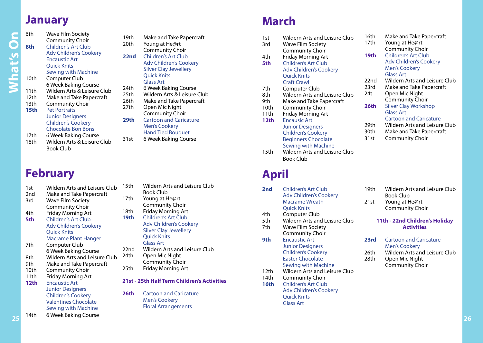### **January**

**What's On** 

Mhat's On

| 6th  | Wave Film Society             |  |  |
|------|-------------------------------|--|--|
|      | <b>Community Choir</b>        |  |  |
| 8th  | <b>Children's Art Club</b>    |  |  |
|      | <b>Adv Children's Cookery</b> |  |  |
|      | <b>Encaustic Art</b>          |  |  |
|      | <b>Ouick Knits</b>            |  |  |
|      | Sewing with Machine           |  |  |
| 10th | Computer Club                 |  |  |
|      | 6 Week Baking Course          |  |  |
| 11th | Wildern Arts & Leisure Club   |  |  |
| 12th | Make and Take Papercraft      |  |  |
| 13th | <b>Community Choir</b>        |  |  |
| 15th | <b>Pet Portraits</b>          |  |  |
|      | <b>Junior Designers</b>       |  |  |
|      | <b>Children's Cookery</b>     |  |  |
|      | <b>Chocolate Bon Bons</b>     |  |  |
| 17+h | 6 Wook Raking Course          |  |  |

17th 6 Week Baking Course 18th Wildern Arts & Leisure Club

Book Club

### **February**

| 1st             | Wildern Arts and Leisure Club | 1              |
|-----------------|-------------------------------|----------------|
| 2 <sub>nd</sub> | Make and Take Papercraft      |                |
| 3rd             | Wave Film Society             | 1              |
|                 | <b>Community Choir</b>        |                |
| 4th             | <b>Friday Morning Art</b>     | 1              |
| 5th             | <b>Children's Art Club</b>    | 1              |
|                 | <b>Adv Children's Cookery</b> |                |
|                 | <b>Quick Knits</b>            |                |
|                 | Macrame Plant Hanger          |                |
| 7th             | Computer Club                 |                |
|                 | 6 Week Baking Course          | 2              |
| 8th             | Wildern Arts and Leisure Club | $\overline{2}$ |
| 9th             | Make and Take Papercraft      |                |
| 10th            | Community Choir               | 2              |
| 11th            | Friday Morning Art            |                |
| 12th            | <b>Encaustic Art</b>          | 2              |
|                 | <b>Junior Designers</b>       |                |
|                 | <b>Children's Cookery</b>     | 2              |
|                 | <b>Valentines Chocolate</b>   |                |
|                 | Sewing with Machine           |                |
| 14th            | 6 Week Baking Course          |                |

- 19th Make and Take Papercraft<br>20th Young at He@rt Young at He@rt Community Choir **22nd** Children's Art Club
	- Adv Children's Cookery Silver Clay Jewellery Quick Knits Glass Art
	-
- 24th 6 Week Baking Course<br>25th Wildern Arts & Leisure Wildern Arts & Leisure Club
- 26th Make and Take Papercraft<br>27th Open Mic Night Open Mic Night Community Choir
- **29th** Cartoon and Caricature Men's Cookery Hand Tied Bouquet 31st 6 Week Baking Course
	-

15th Wildern Arts and Leisure Club Book Club 7th Young at He@rt Community Choir 8th Friday Morning Art **9th** Children's Art Club Adv Children's Cookery Silver Clay Jewellery Quick Knits Glass Art 2nd Wildern Arts and Leisure Club 24th Open Mic Night Community Choir 25th Friday Morning Art

### **21st - 25th Half Term Children's Activities**

**26th** Cartoon and Caricature Men's Cookery Floral Arrangements

### **March**

| 1st  | Wildern Arts and Leisure Club | 16th | Mak   |
|------|-------------------------------|------|-------|
| 3rd  | Wave Film Society             | 17th | Your  |
|      | Community Choir               |      | Com   |
| 4th  | <b>Friday Morning Art</b>     | 19th | Chilo |
| 5th  | <b>Children's Art Club</b>    |      | Adv   |
|      | <b>Adv Children's Cookery</b> |      | Men   |
|      | <b>Quick Knits</b>            |      | Glas  |
|      | <b>Craft Crawl</b>            | 22nd | Wild  |
| 7th  | Computer Club                 | 23rd | Mak   |
| 8th  | Wildern Arts and Leisure Club | 24t  | Ope   |
| 9th  | Make and Take Papercraft      |      | Com   |
| 10th | <b>Community Choir</b>        | 26th | Silve |
| 11th | <b>Friday Morning Art</b>     |      | Glas: |
| 12th | <b>Encausic Art</b>           |      | Cart  |
|      | <b>Junior Designers</b>       | 29th | Wild  |
|      | <b>Children's Cookery</b>     | 30th | Mak   |
|      | <b>Beginners Chocolate</b>    | 31st | Com   |
|      | <b>Sewing with Machine</b>    |      |       |
| 15th | Wildern Arts and Leisure Club |      |       |
|      | <b>Book Club</b>              |      |       |
|      |                               |      |       |

### **April**

| 2nd  | Children's Art Club<br><b>Adv Children's Cookery</b><br>Macrame Wreath<br>Quick Knits                                          |
|------|--------------------------------------------------------------------------------------------------------------------------------|
| 4th  | Computer Club                                                                                                                  |
| 5th  | Wildern Arts and Leisure Club                                                                                                  |
| 7th  | Wave Film Society                                                                                                              |
|      | <b>Community Choir</b>                                                                                                         |
| 9th  | <b>Fncaustic Art</b><br><b>Junior Designers</b><br><b>Children's Cookery</b><br><b>Easter Chocolate</b><br>Sewing with Machine |
| 12th | Wildern Arts and Leisure Club                                                                                                  |
| 14th | <b>Community Choir</b>                                                                                                         |
| 16th | Children's Art Club<br><b>Adv Children's Cookery</b><br><b>Ouick Knits</b><br>Glass Art                                        |

| 16th | Make and Take Papercraft      |
|------|-------------------------------|
| 17th | Young at He@rt                |
|      | Community Choir               |
| 19th | <b>Children's Art Club</b>    |
|      | <b>Adv Children's Cookery</b> |
|      | <b>Men's Cookery</b>          |
|      | <b>Glass Art</b>              |
| 22nd | Wildern Arts and Leisure Club |
| 23rd | Make and Take Papercraft      |
| 24t  | Open Mic Night                |
|      | Community Choir               |
| 26th | <b>Silver Clay Workshop</b>   |
|      | <b>Glass Art</b>              |
|      | <b>Cartoon and Caricature</b> |
| 29th | Wildern Arts and Leisure Club |
| 30th | Make and Take Papercraft      |
| 31st | <b>Community Choir</b>        |

- 19th Wildern Arts and Leisure Club Book Club 21st Young at He@rt
- Community Choir

### **11th - 22nd Children's Holiday Activities**

- **23rd** Cartoon and Caricature Men's Cookery
- 26th Wildern Arts and Leisure Club
- 28th Open Mic Night Community Choir